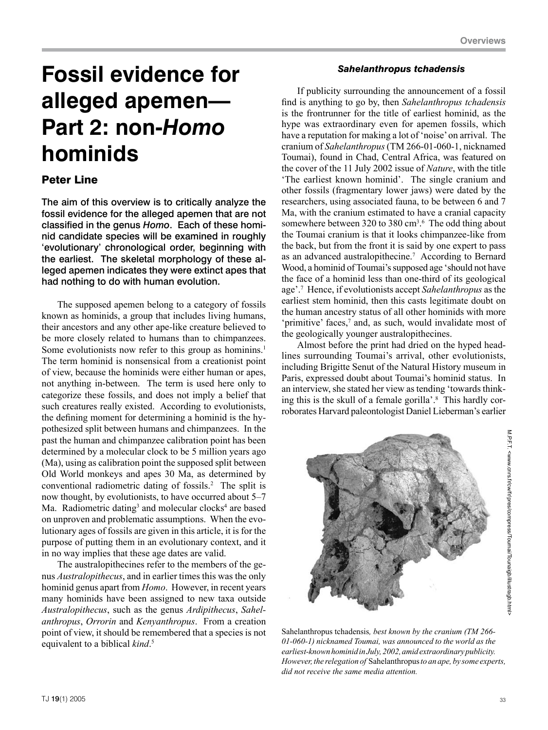# **Fossil evidence for alleged apemen— Part 2: non-***Homo* **hominids**

# Peter Line

The aim of this overview is to critically analyze the fossil evidence for the alleged apemen that are not classified in the genus *Homo*. Each of these hominid candidate species will be examined in roughly 'evolutionary' chronological order, beginning with the earliest. The skeletal morphology of these alleged apemen indicates they were extinct apes that had nothing to do with human evolution.

The supposed apemen belong to a category of fossils known as hominids, a group that includes living humans, their ancestors and any other ape-like creature believed to be more closely related to humans than to chimpanzees. Some evolutionists now refer to this group as hominins.<sup>1</sup> The term hominid is nonsensical from a creationist point of view, because the hominids were either human or apes, not anything in-between. The term is used here only to categorize these fossils, and does not imply a belief that such creatures really existed. According to evolutionists, the defining moment for determining a hominid is the hypothesized split between humans and chimpanzees. In the past the human and chimpanzee calibration point has been determined by a molecular clock to be 5 million years ago (Ma), using as calibration point the supposed split between Old World monkeys and apes 30 Ma, as determined by conventional radiometric dating of fossils.2 The split is now thought, by evolutionists, to have occurred about 5–7 Ma. Radiometric dating<sup>3</sup> and molecular clocks<sup>4</sup> are based on unproven and problematic assumptions. When the evolutionary ages of fossils are given in this article, it is for the purpose of putting them in an evolutionary context, and it in no way implies that these age dates are valid.

The australopithecines refer to the members of the genus *Australopithecus*, and in earlier times this was the only hominid genus apart from *Homo*. However, in recent years many hominids have been assigned to new taxa outside *Australopithecus*, such as the genus *Ardipithecus*, *Sahelanthropus*, *Orrorin* and *Kenyanthropus*. From a creation point of view, it should be remembered that a species is not equivalent to a biblical *kind*. 5

# *Sahelanthropus tchadensis*

If publicity surrounding the announcement of a fossil find is anything to go by, then *Sahelanthropus tchadensis* is the frontrunner for the title of earliest hominid, as the hype was extraordinary even for apemen fossils, which have a reputation for making a lot of 'noise' on arrival. The cranium of *Sahelanthropus* (TM 266-01-060-1, nicknamed Toumai), found in Chad, Central Africa, was featured on the cover of the 11 July 2002 issue of *Nature*, with the title 'The earliest known hominid'. The single cranium and other fossils (fragmentary lower jaws) were dated by the researchers, using associated fauna, to be between 6 and 7 Ma, with the cranium estimated to have a cranial capacity somewhere between 320 to 380  $\text{cm}^{3.6}$  The odd thing about the Toumai cranium is that it looks chimpanzee-like from the back, but from the front it is said by one expert to pass as an advanced australopithecine.7 According to Bernard Wood, a hominid of Toumai's supposed age 'should not have the face of a hominid less than one-third of its geological age'.7 Hence, if evolutionists accept *Sahelanthropus* as the earliest stem hominid, then this casts legitimate doubt on the human ancestry status of all other hominids with more 'primitive' faces,<sup>7</sup> and, as such, would invalidate most of the geologically younger australopithecines.

Almost before the print had dried on the hyped headlines surrounding Toumai's arrival, other evolutionists, including Brigitte Senut of the Natural History museum in Paris, expressed doubt about Toumai's hominid status. In an interview, she stated her view as tending 'towards thinking this is the skull of a female gorilla'.<sup>8</sup> This hardly corroborates Harvard paleontologist Daniel Lieberman's earlier



Sahelanthropus tchadensis*, best known by the cranium (TM 266- 01-060-1) nicknamed Toumai, was announced to the world as the earliest-known hominid in July, 2002, amid extraordinary publicity. However, the relegation of* Sahelanthropus *to an ape, by some experts, did not receive the same media attention.*

M.P.F.T. <www.cnrs.fr/cw/fr/pres/compress/Toumai/Tounaigb/illustragb.html M.P.F.T. <www.cnrs.fr/cw/fr/pres/compress/Toumai/Tounaigb/illustragb.html>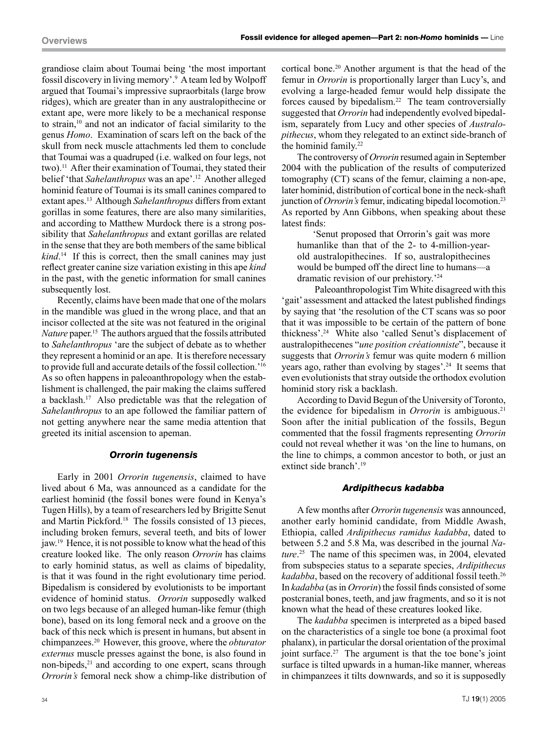grandiose claim about Toumai being 'the most important fossil discovery in living memory'.9 A team led by Wolpoff argued that Toumai's impressive supraorbitals (large brow ridges), which are greater than in any australopithecine or extant ape, were more likely to be a mechanical response to strain,<sup>10</sup> and not an indicator of facial similarity to the genus *Homo*. Examination of scars left on the back of the skull from neck muscle attachments led them to conclude that Toumai was a quadruped (i.e. walked on four legs, not two).<sup>11</sup> After their examination of Toumai, they stated their belief 'that *Sahelanthropus* was an ape'.12 Another alleged hominid feature of Toumai is its small canines compared to extant apes.13 Although *Sahelanthropus* differs from extant gorillas in some features, there are also many similarities, and according to Matthew Murdock there is a strong possibility that *Sahelanthropus* and extant gorillas are related in the sense that they are both members of the same biblical *kind*. 14 If this is correct, then the small canines may just reflect greater canine size variation existing in this ape *kind* in the past, with the genetic information for small canines subsequently lost.

Recently, claims have been made that one of the molars in the mandible was glued in the wrong place, and that an incisor collected at the site was not featured in the original *Nature* paper.15 The authors argued that the fossils attributed to *Sahelanthropus* 'are the subject of debate as to whether they represent a hominid or an ape. It is therefore necessary to provide full and accurate details of the fossil collection.'16 As so often happens in paleoanthropology when the establishment is challenged, the pair making the claims suffered a backlash.17 Also predictable was that the relegation of *Sahelanthropus* to an ape followed the familiar pattern of not getting anywhere near the same media attention that greeted its initial ascension to apeman.

## *Orrorin tugenensis*

Early in 2001 *Orrorin tugenensis*, claimed to have lived about 6 Ma, was announced as a candidate for the earliest hominid (the fossil bones were found in Kenya's Tugen Hills), by a team of researchers led by Brigitte Senut and Martin Pickford.18 The fossils consisted of 13 pieces, including broken femurs, several teeth, and bits of lower jaw.19 Hence, it is not possible to know what the head of this creature looked like. The only reason *Orrorin* has claims to early hominid status, as well as claims of bipedality, is that it was found in the right evolutionary time period. Bipedalism is considered by evolutionists to be important evidence of hominid status. *Orrorin* supposedly walked on two legs because of an alleged human-like femur (thigh bone), based on its long femoral neck and a groove on the back of this neck which is present in humans, but absent in chimpanzees.20 However, this groove, where the *obturator externus* muscle presses against the bone, is also found in non-bipeds,<sup>21</sup> and according to one expert, scans through *Orrorin's* femoral neck show a chimp-like distribution of cortical bone.20 Another argument is that the head of the femur in *Orrorin* is proportionally larger than Lucy's, and evolving a large-headed femur would help dissipate the forces caused by bipedalism.22 The team controversially suggested that *Orrorin* had independently evolved bipedalism, separately from Lucy and other species of *Australopithecus*, whom they relegated to an extinct side-branch of the hominid family.<sup>22</sup>

The controversy of *Orrorin* resumed again in September 2004 with the publication of the results of computerized tomography (CT) scans of the femur, claiming a non-ape, later hominid, distribution of cortical bone in the neck-shaft junction of *Orrorin's* femur, indicating bipedal locomotion.23 As reported by Ann Gibbons, when speaking about these latest finds:

'Senut proposed that Orrorin's gait was more humanlike than that of the 2- to 4-million-yearold australopithecines. If so, australopithecines would be bumped off the direct line to humans—a dramatic revision of our prehistory.'24

Paleoanthropologist Tim White disagreed with this 'gait' assessment and attacked the latest published findings by saying that 'the resolution of the CT scans was so poor that it was impossible to be certain of the pattern of bone thickness'.24 White also 'called Senut's displacement of australopithecenes "*une position créationniste*", because it suggests that *Orrorin's* femur was quite modern 6 million years ago, rather than evolving by stages'.<sup>24</sup> It seems that even evolutionists that stray outside the orthodox evolution hominid story risk a backlash.

According to David Begun of the University of Toronto, the evidence for bipedalism in *Orrorin* is ambiguous.<sup>21</sup> Soon after the initial publication of the fossils, Begun commented that the fossil fragments representing *Orrorin* could not reveal whether it was 'on the line to humans, on the line to chimps, a common ancestor to both, or just an extinct side branch'.19

#### *Ardipithecus kadabba*

A few months after *Orrorin tugenensis* was announced, another early hominid candidate, from Middle Awash, Ethiopia, called *Ardipithecus ramidus kadabba*, dated to between 5.2 and 5.8 Ma, was described in the journal *Nature*. 25 The name of this specimen was, in 2004, elevated from subspecies status to a separate species, *Ardipithecus kadabba*, based on the recovery of additional fossil teeth.<sup>26</sup> In *kadabba* (as in *Orrorin*) the fossil finds consisted of some postcranial bones, teeth, and jaw fragments, and so it is not known what the head of these creatures looked like.

The *kadabba* specimen is interpreted as a biped based on the characteristics of a single toe bone (a proximal foot phalanx), in particular the dorsal orientation of the proximal joint surface.<sup>27</sup> The argument is that the toe bone's joint surface is tilted upwards in a human-like manner, whereas in chimpanzees it tilts downwards, and so it is supposedly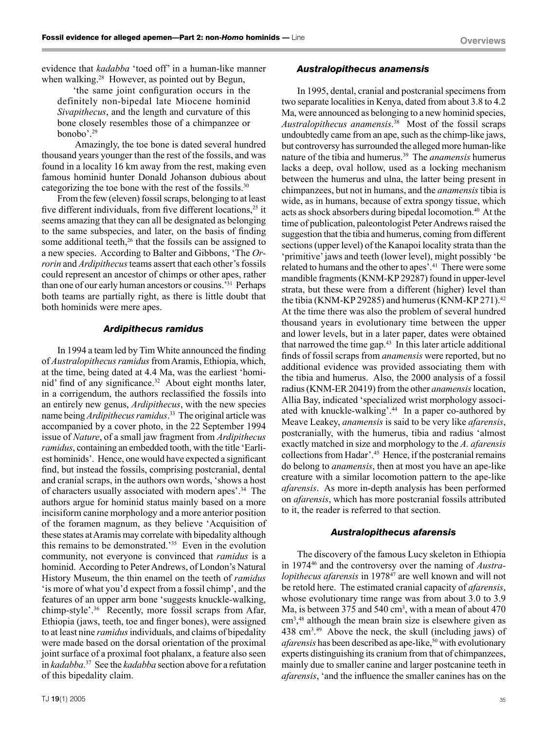evidence that *kadabba* 'toed off' in a human-like manner when walking.<sup>28</sup> However, as pointed out by Begun,

'the same joint configuration occurs in the definitely non-bipedal late Miocene hominid *Sivapithecus*, and the length and curvature of this bone closely resembles those of a chimpanzee or bonobo'.29

Amazingly, the toe bone is dated several hundred thousand years younger than the rest of the fossils, and was found in a locality 16 km away from the rest, making even famous hominid hunter Donald Johanson dubious about categorizing the toe bone with the rest of the fossils.30

From the few (eleven) fossil scraps, belonging to at least five different individuals, from five different locations,<sup>25</sup> it seems amazing that they can all be designated as belonging to the same subspecies, and later, on the basis of finding some additional teeth,<sup>26</sup> that the fossils can be assigned to a new species. According to Balter and Gibbons, 'The *Orrorin* and *Ardipithecus* teams assert that each other's fossils could represent an ancestor of chimps or other apes, rather than one of our early human ancestors or cousins.'31 Perhaps both teams are partially right, as there is little doubt that both hominids were mere apes.

#### *Ardipithecus ramidus*

In 1994 a team led by Tim White announced the finding of *Australopithecus ramidus* from Aramis, Ethiopia, which, at the time, being dated at 4.4 Ma, was the earliest 'hominid' find of any significance.<sup>32</sup> About eight months later, in a corrigendum, the authors reclassified the fossils into an entirely new genus, *Ardipithecus*, with the new species name being *Ardipithecus ramidus*. 33 The original article was accompanied by a cover photo, in the 22 September 1994 issue of *Nature*, of a small jaw fragment from *Ardipithecus ramidus*, containing an embedded tooth, with the title 'Earliest hominids'. Hence, one would have expected a significant find, but instead the fossils, comprising postcranial, dental and cranial scraps, in the authors own words, 'shows a host of characters usually associated with modern apes'.<sup>34</sup> The authors argue for hominid status mainly based on a more incisiform canine morphology and a more anterior position of the foramen magnum, as they believe 'Acquisition of these states at Aramis may correlate with bipedality although this remains to be demonstrated.'35 Even in the evolution community, not everyone is convinced that *ramidus* is a hominid. According to Peter Andrews, of London's Natural History Museum, the thin enamel on the teeth of *ramidus* 'is more of what you'd expect from a fossil chimp', and the features of an upper arm bone 'suggests knuckle-walking, chimp-style'.36 Recently, more fossil scraps from Afar, Ethiopia (jaws, teeth, toe and finger bones), were assigned to at least nine *ramidus* individuals, and claims of bipedality were made based on the dorsal orientation of the proximal joint surface of a proximal foot phalanx, a feature also seen in *kadabba*. 37 See the *kadabba* section above for a refutation of this bipedality claim.

#### *Australopithecus anamensis*

In 1995, dental, cranial and postcranial specimens from two separate localities in Kenya, dated from about 3.8 to 4.2 Ma, were announced as belonging to a new hominid species, *Australopithecus anamensis*. 38 Most of the fossil scraps undoubtedly came from an ape, such as the chimp-like jaws, but controversy has surrounded the alleged more human-like nature of the tibia and humerus.39 The *anamensis* humerus lacks a deep, oval hollow, used as a locking mechanism between the humerus and ulna, the latter being present in chimpanzees, but not in humans, and the *anamensis* tibia is wide, as in humans, because of extra spongy tissue, which acts as shock absorbers during bipedal locomotion.<sup>40</sup> At the time of publication, paleontologist Peter Andrews raised the suggestion that the tibia and humerus, coming from different sections (upper level) of the Kanapoi locality strata than the 'primitive' jaws and teeth (lower level), might possibly 'be related to humans and the other to apes'.41 There were some mandible fragments (KNM-KP 29287) found in upper-level strata, but these were from a different (higher) level than the tibia (KNM-KP 29285) and humerus (KNM-KP 271).<sup>42</sup> At the time there was also the problem of several hundred thousand years in evolutionary time between the upper and lower levels, but in a later paper, dates were obtained that narrowed the time gap. $43$  In this later article additional finds of fossil scraps from *anamensis* were reported, but no additional evidence was provided associating them with the tibia and humerus. Also, the 2000 analysis of a fossil radius (KNM-ER 20419) from the other *anamensis* location, Allia Bay, indicated 'specialized wrist morphology associated with knuckle-walking'.44 In a paper co-authored by Meave Leakey, *anamensis* is said to be very like *afarensis*, postcranially, with the humerus, tibia and radius 'almost exactly matched in size and morphology to the *A. afarensis* collections from Hadar'.45 Hence, if the postcranial remains do belong to *anamensis*, then at most you have an ape-like creature with a similar locomotion pattern to the ape-like *afarensis*. As more in-depth analysis has been performed on *afarensis*, which has more postcranial fossils attributed to it, the reader is referred to that section.

#### *Australopithecus afarensis*

The discovery of the famous Lucy skeleton in Ethiopia in 197446 and the controversy over the naming of *Australopithecus afarensis* in 1978<sup>47</sup> are well known and will not be retold here. The estimated cranial capacity of *afarensis*, whose evolutionary time range was from about 3.0 to 3.9 Ma, is between 375 and 540 cm<sup>3</sup>, with a mean of about 470 cm3 , 48 although the mean brain size is elsewhere given as  $438 \text{ cm}^3$ .<sup>49</sup> Above the neck, the skull (including jaws) of *afarensis* has been described as ape-like,<sup>50</sup> with evolutionary experts distinguishing its cranium from that of chimpanzees, mainly due to smaller canine and larger postcanine teeth in *afarensis*, 'and the influence the smaller canines has on the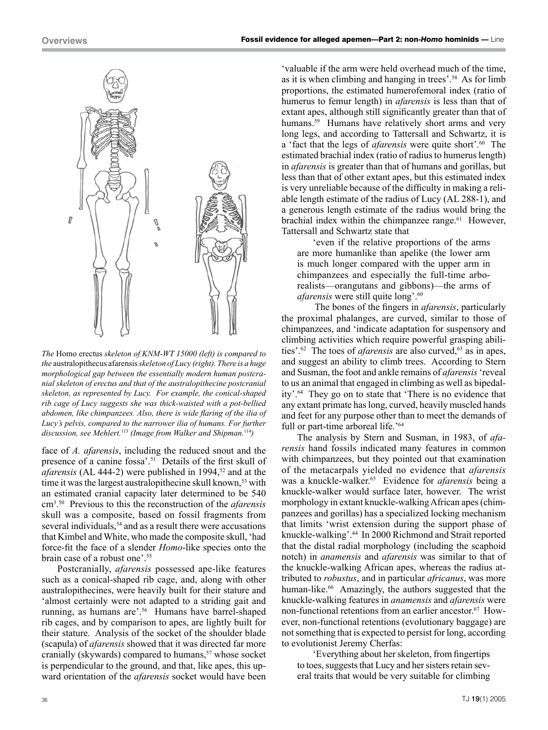

*The* Homo erectus *skeleton of KNM-WT 15000 (left) is compared to the* australopithecus afarensis *skeleton of Lucy (right). There is a huge morphological gap between the essentially modern human postcranial skeleton of erectus and that of the australopithecine postcranial skeleton, as represented by Lucy. For example, the conical-shaped rib cage of Lucy suggests she was thick-waisted with a pot-bellied abdomen, like chimpanzees. Also, there is wide flaring of the ilia of Lucy's pelvis, compared to the narrower ilia of humans. For further discussion, see Mehlert.*<sup>113</sup> *(Image from Walker and Shipman.*<sup>114</sup>*)*

face of *A. afarensis*, including the reduced snout and the presence of a canine fossa'.<sup>51</sup> Details of the first skull of *afarensis* (AL 444-2) were published in 1994,<sup>52</sup> and at the time it was the largest australopithecine skull known,<sup>53</sup> with an estimated cranial capacity later determined to be 540 cm3 . 50 Previous to this the reconstruction of the *afarensis* skull was a composite, based on fossil fragments from several individuals,<sup>54</sup> and as a result there were accusations that Kimbel and White, who made the composite skull, 'had force-fit the face of a slender *Homo*-like species onto the brain case of a robust one'.55

Postcranially, *afarensis* possessed ape-like features such as a conical-shaped rib cage, and, along with other australopithecines, were heavily built for their stature and 'almost certainly were not adapted to a striding gait and running, as humans are'.56 Humans have barrel-shaped rib cages, and by comparison to apes, are lightly built for their stature. Analysis of the socket of the shoulder blade (scapula) of *afarensis* showed that it was directed far more cranially (skywards) compared to humans,<sup>57</sup> whose socket is perpendicular to the ground, and that, like apes, this upward orientation of the *afarensis* socket would have been

'valuable if the arm were held overhead much of the time, as it is when climbing and hanging in trees'.58 As for limb proportions, the estimated humerofemoral index (ratio of humerus to femur length) in *afarensis* is less than that of extant apes, although still significantly greater than that of humans.<sup>59</sup> Humans have relatively short arms and very long legs, and according to Tattersall and Schwartz, it is a 'fact that the legs of *afarensis* were quite short'.60 The estimated brachial index (ratio of radius to humerus length) in *afarensis* is greater than that of humans and gorillas, but less than that of other extant apes, but this estimated index is very unreliable because of the difficulty in making a reliable length estimate of the radius of Lucy (AL 288-1), and a generous length estimate of the radius would bring the brachial index within the chimpanzee range. $61$  However, Tattersall and Schwartz state that

'even if the relative proportions of the arms are more humanlike than apelike (the lower arm is much longer compared with the upper arm in chimpanzees and especially the full-time arborealists—orangutans and gibbons)—the arms of *afarensis* were still quite long'.<sup>60</sup>

The bones of the fingers in *afarensis*, particularly the proximal phalanges, are curved, similar to those of chimpanzees, and 'indicate adaptation for suspensory and climbing activities which require powerful grasping abilities'.<sup>62</sup> The toes of *afarensis* are also curved,<sup>63</sup> as in apes, and suggest an ability to climb trees. According to Stern and Susman, the foot and ankle remains of *afarensis* 'reveal to us an animal that engaged in climbing as well as bipedality'.64 They go on to state that 'There is no evidence that any extant primate has long, curved, heavily muscled hands and feet for any purpose other than to meet the demands of full or part-time arboreal life.<sup>'64</sup>

The analysis by Stern and Susman, in 1983, of *afarensis* hand fossils indicated many features in common with chimpanzees, but they pointed out that examination of the metacarpals yielded no evidence that *afarensis* was a knuckle-walker.65 Evidence for *afarensis* being a knuckle-walker would surface later, however. The wrist morphology in extant knuckle-walking African apes (chimpanzees and gorillas) has a specialized locking mechanism that limits 'wrist extension during the support phase of knuckle-walking'.44 In 2000 Richmond and Strait reported that the distal radial morphology (including the scaphoid notch) in *anamensis* and *afarensis* was similar to that of the knuckle-walking African apes, whereas the radius attributed to *robustus*, and in particular *africanus*, was more human-like.<sup>66</sup> Amazingly, the authors suggested that the knuckle-walking features in *anamensis* and *afarensis* were non-functional retentions from an earlier ancestor.<sup>67</sup> However, non-functional retentions (evolutionary baggage) are not something that is expected to persist for long, according to evolutionist Jeremy Cherfas:

'Everything about her skeleton, from fingertips to toes, suggests that Lucy and her sisters retain several traits that would be very suitable for climbing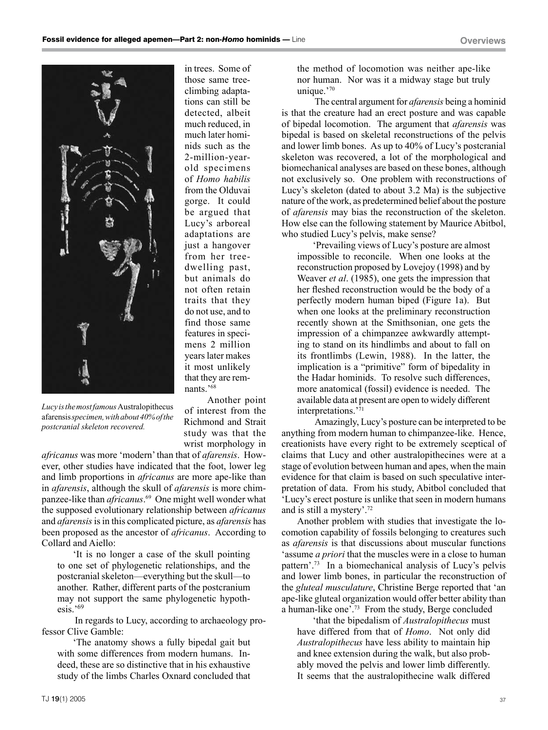

in trees. Some of those same treeclimbing adaptations can still be detected, albeit much reduced, in much later hominids such as the 2-million-yearold specimens of *Homo habilis* from the Olduvai gorge. It could be argued that Lucy's arboreal adaptations are just a hangover from her treedwelling past, but animals do not often retain traits that they do not use, and to find those same features in specimens 2 million years later makes it most unlikely that they are remnants.'68

*Lucy is the most famous* Australopithecus afarensis *specimen, with about 40% of the postcranial skeleton recovered.*

Another point of interest from the Richmond and Strait study was that the wrist morphology in

*africanus* was more 'modern' than that of *afarensis*. However, other studies have indicated that the foot, lower leg and limb proportions in *africanus* are more ape-like than in *afarensis*, although the skull of *afarensis* is more chimpanzee-like than *africanus*. 69 One might well wonder what the supposed evolutionary relationship between *africanus* and *afarensis* is in this complicated picture, as *afarensis* has been proposed as the ancestor of *africanus*. According to Collard and Aiello:

'It is no longer a case of the skull pointing to one set of phylogenetic relationships, and the postcranial skeleton—everything but the skull—to another. Rather, different parts of the postcranium may not support the same phylogenetic hypothesis.'69

In regards to Lucy, according to archaeology professor Clive Gamble:

'The anatomy shows a fully bipedal gait but with some differences from modern humans. Indeed, these are so distinctive that in his exhaustive study of the limbs Charles Oxnard concluded that the method of locomotion was neither ape-like nor human. Nor was it a midway stage but truly unique.'70

The central argument for *afarensis* being a hominid is that the creature had an erect posture and was capable of bipedal locomotion. The argument that *afarensis* was bipedal is based on skeletal reconstructions of the pelvis and lower limb bones. As up to 40% of Lucy's postcranial skeleton was recovered, a lot of the morphological and biomechanical analyses are based on these bones, although not exclusively so. One problem with reconstructions of Lucy's skeleton (dated to about 3.2 Ma) is the subjective nature of the work, as predetermined belief about the posture of *afarensis* may bias the reconstruction of the skeleton. How else can the following statement by Maurice Abitbol, who studied Lucy's pelvis, make sense?

'Prevailing views of Lucy's posture are almost impossible to reconcile. When one looks at the reconstruction proposed by Lovejoy (1998) and by Weaver *et al*. (1985), one gets the impression that her fleshed reconstruction would be the body of a perfectly modern human biped (Figure 1a). But when one looks at the preliminary reconstruction recently shown at the Smithsonian, one gets the impression of a chimpanzee awkwardly attempting to stand on its hindlimbs and about to fall on its frontlimbs (Lewin, 1988). In the latter, the implication is a "primitive" form of bipedality in the Hadar hominids. To resolve such differences, more anatomical (fossil) evidence is needed. The available data at present are open to widely different interpretations.'71

Amazingly, Lucy's posture can be interpreted to be anything from modern human to chimpanzee-like. Hence, creationists have every right to be extremely sceptical of claims that Lucy and other australopithecines were at a stage of evolution between human and apes, when the main evidence for that claim is based on such speculative interpretation of data. From his study, Abitbol concluded that 'Lucy's erect posture is unlike that seen in modern humans and is still a mystery'.72

Another problem with studies that investigate the locomotion capability of fossils belonging to creatures such as *afarensis* is that discussions about muscular functions 'assume *a priori* that the muscles were in a close to human pattern'.73 In a biomechanical analysis of Lucy's pelvis and lower limb bones, in particular the reconstruction of the *gluteal musculature*, Christine Berge reported that 'an ape-like gluteal organization would offer better ability than a human-like one'.73 From the study, Berge concluded

'that the bipedalism of *Australopithecus* must have differed from that of *Homo*. Not only did *Australopithecus* have less ability to maintain hip and knee extension during the walk, but also probably moved the pelvis and lower limb differently. It seems that the australopithecine walk differed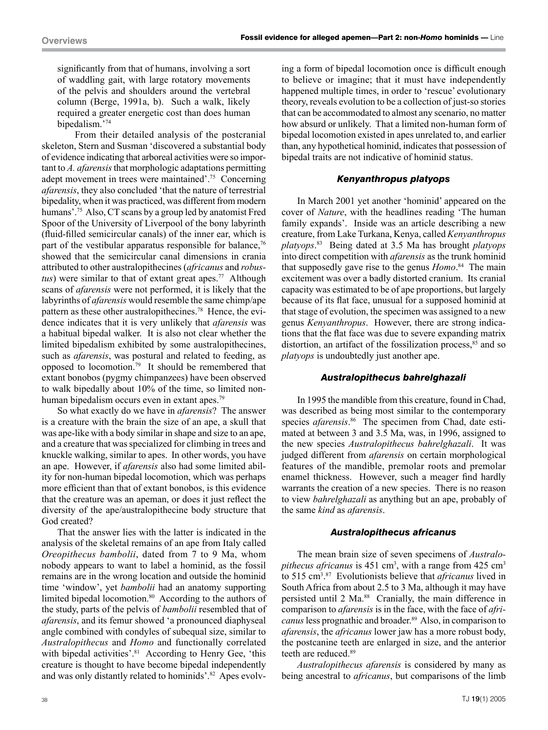significantly from that of humans, involving a sort of waddling gait, with large rotatory movements of the pelvis and shoulders around the vertebral column (Berge, 1991a, b). Such a walk, likely required a greater energetic cost than does human bipedalism.'74

From their detailed analysis of the postcranial skeleton, Stern and Susman 'discovered a substantial body of evidence indicating that arboreal activities were so important to *A. afarensis* that morphologic adaptations permitting adept movement in trees were maintained'.75 Concerning *afarensis*, they also concluded 'that the nature of terrestrial bipedality, when it was practiced, was different from modern humans'.<sup>75</sup> Also, CT scans by a group led by anatomist Fred Spoor of the University of Liverpool of the bony labyrinth (fluid-filled semicircular canals) of the inner ear, which is part of the vestibular apparatus responsible for balance.<sup>76</sup> showed that the semicircular canal dimensions in crania attributed to other australopithecines (*africanus* and *robustus*) were similar to that of extant great apes.<sup>77</sup> Although scans of *afarensis* were not performed, it is likely that the labyrinths of *afarensis* would resemble the same chimp/ape pattern as these other australopithecines.<sup>78</sup> Hence, the evidence indicates that it is very unlikely that *afarensis* was a habitual bipedal walker. It is also not clear whether the limited bipedalism exhibited by some australopithecines, such as *afarensis*, was postural and related to feeding, as opposed to locomotion.<sup>79</sup> It should be remembered that extant bonobos (pygmy chimpanzees) have been observed to walk bipedally about 10% of the time, so limited nonhuman bipedalism occurs even in extant apes.<sup>79</sup>

So what exactly do we have in *afarensis*? The answer is a creature with the brain the size of an ape, a skull that was ape-like with a body similar in shape and size to an ape, and a creature that was specialized for climbing in trees and knuckle walking, similar to apes. In other words, you have an ape. However, if *afarensis* also had some limited ability for non-human bipedal locomotion, which was perhaps more efficient than that of extant bonobos, is this evidence that the creature was an apeman, or does it just reflect the diversity of the ape/australopithecine body structure that God created?

That the answer lies with the latter is indicated in the analysis of the skeletal remains of an ape from Italy called *Oreopithecus bambolii*, dated from 7 to 9 Ma, whom nobody appears to want to label a hominid, as the fossil remains are in the wrong location and outside the hominid time 'window', yet *bambolii* had an anatomy supporting limited bipedal locomotion.<sup>80</sup> According to the authors of the study, parts of the pelvis of *bambolii* resembled that of *afarensis*, and its femur showed 'a pronounced diaphyseal angle combined with condyles of subequal size, similar to *Australopithecus* and *Homo* and functionally correlated with bipedal activities'.<sup>81</sup> According to Henry Gee, 'this creature is thought to have become bipedal independently and was only distantly related to hominids'.<sup>82</sup> Apes evolving a form of bipedal locomotion once is difficult enough to believe or imagine; that it must have independently happened multiple times, in order to 'rescue' evolutionary theory, reveals evolution to be a collection of just-so stories that can be accommodated to almost any scenario, no matter how absurd or unlikely. That a limited non-human form of bipedal locomotion existed in apes unrelated to, and earlier than, any hypothetical hominid, indicates that possession of bipedal traits are not indicative of hominid status.

#### *Kenyanthropus platyops*

In March 2001 yet another 'hominid' appeared on the cover of *Nature*, with the headlines reading 'The human family expands'. Inside was an article describing a new creature, from Lake Turkana, Kenya, called *Kenyanthropus platyops*. 83 Being dated at 3.5 Ma has brought *platyops* into direct competition with *afarensis* as the trunk hominid that supposedly gave rise to the genus *Homo*. 84 The main excitement was over a badly distorted cranium. Its cranial capacity was estimated to be of ape proportions, but largely because of its flat face, unusual for a supposed hominid at that stage of evolution, the specimen was assigned to a new genus *Kenyanthropus*. However, there are strong indications that the flat face was due to severe expanding matrix distortion, an artifact of the fossilization process, $85$  and so *platyops* is undoubtedly just another ape.

#### *Australopithecus bahrelghazali*

In 1995 the mandible from this creature, found in Chad, was described as being most similar to the contemporary species *afarensis*. 86 The specimen from Chad, date estimated at between 3 and 3.5 Ma, was, in 1996, assigned to the new species *Australopithecus bahrelghazali*. It was judged different from *afarensis* on certain morphological features of the mandible, premolar roots and premolar enamel thickness. However, such a meager find hardly warrants the creation of a new species. There is no reason to view *bahrelghazali* as anything but an ape, probably of the same *kind* as *afarensis*.

#### *Australopithecus africanus*

The mean brain size of seven specimens of *Australopithecus africanus* is  $451 \text{ cm}^3$ , with a range from  $425 \text{ cm}^3$ to 515 cm3 . 87 Evolutionists believe that *africanus* lived in South Africa from about 2.5 to 3 Ma, although it may have persisted until 2 Ma.<sup>88</sup> Cranially, the main difference in comparison to *afarensis* is in the face, with the face of *africanus* less prognathic and broader.<sup>89</sup> Also, in comparison to *afarensis*, the *africanus* lower jaw has a more robust body, the postcanine teeth are enlarged in size, and the anterior teeth are reduced.89

*Australopithecus afarensis* is considered by many as being ancestral to *africanus*, but comparisons of the limb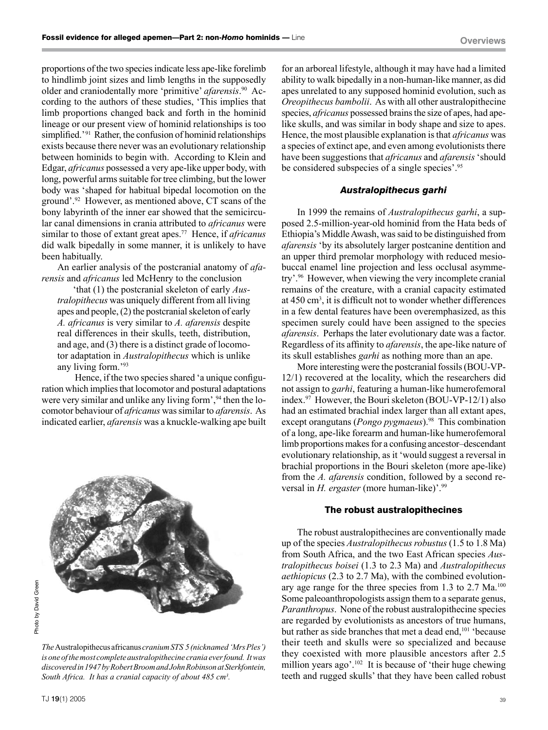proportions of the two species indicate less ape-like forelimb to hindlimb joint sizes and limb lengths in the supposedly older and craniodentally more 'primitive' *afarensis*. 90 According to the authors of these studies, 'This implies that limb proportions changed back and forth in the hominid lineage or our present view of hominid relationships is too simplified.<sup>'91</sup> Rather, the confusion of hominid relationships exists because there never was an evolutionary relationship between hominids to begin with. According to Klein and Edgar, *africanus* possessed a very ape-like upper body, with long, powerful arms suitable for tree climbing, but the lower body was 'shaped for habitual bipedal locomotion on the ground'.92 However, as mentioned above, CT scans of the bony labyrinth of the inner ear showed that the semicircular canal dimensions in crania attributed to *africanus* were similar to those of extant great apes.77 Hence, if *africanus* did walk bipedally in some manner, it is unlikely to have been habitually.

An earlier analysis of the postcranial anatomy of *afarensis* and *africanus* led McHenry to the conclusion

'that (1) the postcranial skeleton of early *Australopithecus* was uniquely different from all living apes and people, (2) the postcranial skeleton of early *A. africanus* is very similar to *A. afarensis* despite real differences in their skulls, teeth, distribution, and age, and (3) there is a distinct grade of locomotor adaptation in *Australopithecus* which is unlike any living form.'93

Hence, if the two species shared 'a unique configuration which implies that locomotor and postural adaptations were very similar and unlike any living form',<sup>94</sup> then the locomotor behaviour of *africanus* was similar to *afarensis*. As indicated earlier, *afarensis* was a knuckle-walking ape built



*The* Australopithecus africanus *cranium STS 5 (nicknamed 'Mrs Ples') is one of the most complete australopithecine crania ever found. It was discovered in 1947 by Robert Broom and John Robinson at Sterkfontein, South Africa. It has a cranial capacity of about 485 cm3 .*

for an arboreal lifestyle, although it may have had a limited ability to walk bipedally in a non-human-like manner, as did apes unrelated to any supposed hominid evolution, such as *Oreopithecus bambolii*. As with all other australopithecine species, *africanus* possessed brains the size of apes, had apelike skulls, and was similar in body shape and size to apes. Hence, the most plausible explanation is that *africanus* was a species of extinct ape, and even among evolutionists there have been suggestions that *africanus* and *afarensis* 'should be considered subspecies of a single species'.95

#### *Australopithecus garhi*

In 1999 the remains of *Australopithecus garhi*, a supposed 2.5-million-year-old hominid from the Hata beds of Ethiopia's Middle Awash, was said to be distinguished from *afarensis* 'by its absolutely larger postcanine dentition and an upper third premolar morphology with reduced mesiobuccal enamel line projection and less occlusal asymmetry'.96 However, when viewing the very incomplete cranial remains of the creature, with a cranial capacity estimated at 450 cm3 , it is difficult not to wonder whether differences in a few dental features have been overemphasized, as this specimen surely could have been assigned to the species *afarensis*. Perhaps the later evolutionary date was a factor. Regardless of its affinity to *afarensis*, the ape-like nature of its skull establishes *garhi* as nothing more than an ape.

More interesting were the postcranial fossils (BOU-VP-12/1) recovered at the locality, which the researchers did not assign to *garhi*, featuring a human-like humerofemoral index.97 However, the Bouri skeleton (BOU-VP-12/1) also had an estimated brachial index larger than all extant apes, except orangutans (*Pongo pygmaeus*).<sup>98</sup> This combination of a long, ape-like forearm and human-like humerofemoral limb proportions makes for a confusing ancestor–descendant evolutionary relationship, as it 'would suggest a reversal in brachial proportions in the Bouri skeleton (more ape-like) from the *A. afarensis* condition, followed by a second reversal in *H. ergaster* (more human-like)<sup>'.99</sup>

#### The robust australopithecines

The robust australopithecines are conventionally made up of the species *Australopithecus robustus* (1.5 to 1.8 Ma) from South Africa, and the two East African species *Australopithecus boisei* (1.3 to 2.3 Ma) and *Australopithecus aethiopicus* (2.3 to 2.7 Ma), with the combined evolutionary age range for the three species from 1.3 to 2.7 Ma.<sup>100</sup> Some paleoanthropologists assign them to a separate genus, *Paranthropus*. None of the robust australopithecine species are regarded by evolutionists as ancestors of true humans, but rather as side branches that met a dead end,<sup>101</sup> 'because their teeth and skulls were so specialized and because they coexisted with more plausible ancestors after 2.5 million years ago'.<sup>102</sup> It is because of 'their huge chewing teeth and rugged skulls' that they have been called robust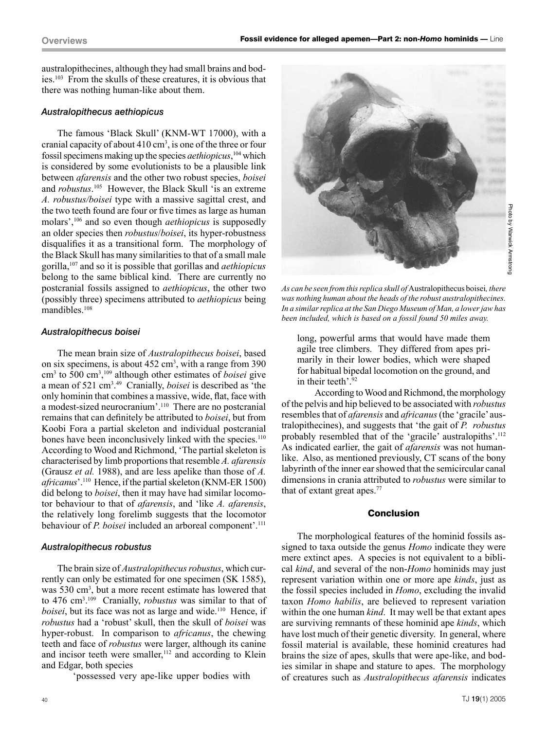australopithecines, although they had small brains and bodies.103 From the skulls of these creatures, it is obvious that there was nothing human-like about them.

#### *Australopithecus aethiopicus*

The famous 'Black Skull' (KNM-WT 17000), with a cranial capacity of about  $410 \text{ cm}^3$ , is one of the three or four fossil specimens making up the species *aethiopicus*, 104 which is considered by some evolutionists to be a plausible link between *afarensis* and the other two robust species, *boisei* and *robustus*. 105 However, the Black Skull 'is an extreme *A. robustus/boisei* type with a massive sagittal crest, and the two teeth found are four or five times as large as human molars',106 and so even though *aethiopicus* is supposedly an older species then *robustus*/*boisei*, its hyper-robustness disqualifies it as a transitional form. The morphology of the Black Skull has many similarities to that of a small male gorilla,107 and so it is possible that gorillas and *aethiopicus* belong to the same biblical kind. There are currently no postcranial fossils assigned to *aethiopicus*, the other two (possibly three) specimens attributed to *aethiopicus* being mandibles.108

### *Australopithecus boisei*

The mean brain size of *Australopithecus boisei*, based on six specimens, is about  $452 \text{ cm}^3$ , with a range from 390 cm3 to 500 cm3 , 109 although other estimates of *boisei* give a mean of 521 cm3 . 49 Cranially, *boisei* is described as 'the only hominin that combines a massive, wide, flat, face with a modest-sized neurocranium'.110 There are no postcranial remains that can definitely be attributed to *boisei*, but from Koobi Fora a partial skeleton and individual postcranial bones have been inconclusively linked with the species.<sup>110</sup> According to Wood and Richmond, 'The partial skeleton is characterised by limb proportions that resemble *A. afarensis* (Grausz *et al.* 1988), and are less apelike than those of *A. africanus*'.110 Hence, if the partial skeleton (KNM-ER 1500) did belong to *boisei*, then it may have had similar locomotor behaviour to that of *afarensis*, and 'like *A. afarensis*, the relatively long forelimb suggests that the locomotor behaviour of *P. boisei* included an arboreal component'.<sup>111</sup>

#### *Australopithecus robustus*

The brain size of *Australopithecus robustus*, which currently can only be estimated for one specimen (SK 1585), was 530 cm<sup>3</sup>, but a more recent estimate has lowered that to 476 cm3 . 109 Cranially, *robustus* was similar to that of *boisei*, but its face was not as large and wide.<sup>110</sup> Hence, if *robustus* had a 'robust' skull, then the skull of *boisei* was hyper-robust. In comparison to *africanus*, the chewing teeth and face of *robustus* were larger, although its canine and incisor teeth were smaller,<sup>112</sup> and according to Klein and Edgar, both species

'possessed very ape-like upper bodies with



*As can be seen from this replica skull of* Australopithecus boisei*, there was nothing human about the heads of the robust australopithecines. In a similar replica at the San Diego Museum of Man, a lower jaw has been included, which is based on a fossil found 50 miles away.*

long, powerful arms that would have made them agile tree climbers. They differed from apes primarily in their lower bodies, which were shaped for habitual bipedal locomotion on the ground, and in their teeth'.<sup>92</sup>

According to Wood and Richmond, the morphology of the pelvis and hip believed to be associated with *robustus* resembles that of *afarensis* and *africanus* (the 'gracile' australopithecines), and suggests that 'the gait of *P. robustus* probably resembled that of the 'gracile' australopiths'.112 As indicated earlier, the gait of *afarensis* was not humanlike. Also, as mentioned previously, CT scans of the bony labyrinth of the inner ear showed that the semicircular canal dimensions in crania attributed to *robustus* were similar to that of extant great apes.77

#### Conclusion

The morphological features of the hominid fossils assigned to taxa outside the genus *Homo* indicate they were mere extinct apes. A species is not equivalent to a biblical *kind*, and several of the non-*Homo* hominids may just represent variation within one or more ape *kinds*, just as the fossil species included in *Homo*, excluding the invalid taxon *Homo habilis*, are believed to represent variation within the one human *kind*. It may well be that extant apes are surviving remnants of these hominid ape *kinds*, which have lost much of their genetic diversity. In general, where fossil material is available, these hominid creatures had brains the size of apes, skulls that were ape-like, and bodies similar in shape and stature to apes. The morphology of creatures such as *Australopithecus afarensis* indicates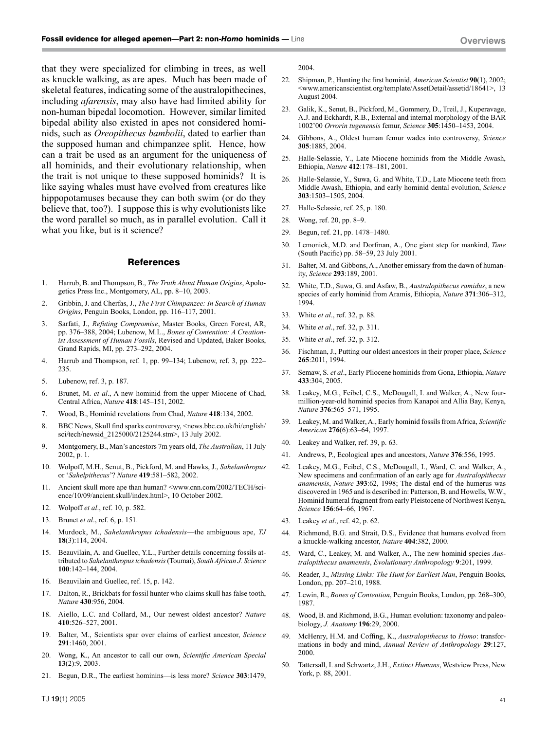that they were specialized for climbing in trees, as well as knuckle walking, as are apes. Much has been made of skeletal features, indicating some of the australopithecines, including *afarensis*, may also have had limited ability for non-human bipedal locomotion. However, similar limited bipedal ability also existed in apes not considered hominids, such as *Oreopithecus bambolii*, dated to earlier than the supposed human and chimpanzee split. Hence, how can a trait be used as an argument for the uniqueness of all hominids, and their evolutionary relationship, when the trait is not unique to these supposed hominids? It is like saying whales must have evolved from creatures like hippopotamuses because they can both swim (or do they believe that, too?). I suppose this is why evolutionists like the word parallel so much, as in parallel evolution. Call it what you like, but is it science?

#### **References**

- 1. Harrub, B. and Thompson, B., *The Truth About Human Origins*, Apologetics Press Inc., Montgomery, AL, pp. 8–10, 2003.
- 2. Gribbin, J. and Cherfas, J., *The First Chimpanzee: In Search of Human Origins*, Penguin Books, London, pp. 116–117, 2001.
- 3. Sarfati, J., *Refuting Compromise*, Master Books, Green Forest, AR, pp. 376–388, 2004; Lubenow, M.L., *Bones of Contention: A Creationist Assessment of Human Fossils*, Revised and Updated, Baker Books, Grand Rapids, MI, pp. 273–292, 2004.
- 4. Harrub and Thompson, ref. 1, pp. 99–134; Lubenow, ref. 3, pp. 222– 235.
- 5. Lubenow, ref. 3, p. 187.
- 6. Brunet, M. *et al*., A new hominid from the upper Miocene of Chad, Central Africa, *Nature* **418**:145–151, 2002.
- 7. Wood, B., Hominid revelations from Chad, *Nature* **418**:134, 2002.
- 8. BBC News, Skull find sparks controversy, <news.bbc.co.uk/hi/english/ sci/tech/newsid\_2125000/2125244.stm>, 13 July 2002.
- 9. Montgomery, B., Man's ancestors 7m years old, *The Australian*, 11 July 2002, p. 1.
- 10. Wolpoff, M.H., Senut, B., Pickford, M. and Hawks, J., *Sahelanthropus* or '*Sahelpithecus*'? *Nature* **419**:581–582, 2002.
- 11. Ancient skull more ape than human? <www.cnn.com/2002/TECH/science/10/09/ancient.skull/index.html>, 10 October 2002.
- 12. Wolpoff *et al*., ref. 10, p. 582.
- 13. Brunet *et al*., ref. 6, p. 151.
- 14. Murdock, M., *Sahelanthropus tchadensis*—the ambiguous ape, *TJ* **18**(3):114, 2004.
- 15. Beauvilain, A. and Guellec, Y.L., Further details concerning fossils attributed to *Sahelanthropus tchadensis* (Toumai), *South African J. Science* **100**:142–144, 2004.
- 16. Beauvilain and Guellec, ref. 15, p. 142.
- 17. Dalton, R., Brickbats for fossil hunter who claims skull has false tooth, *Nature* **430**:956, 2004.
- 18. Aiello, L.C. and Collard, M., Our newest oldest ancestor? *Nature* **410**:526–527, 2001.
- 19. Balter, M., Scientists spar over claims of earliest ancestor, *Science* **291**:1460, 2001.
- 20. Wong, K., An ancestor to call our own, *Scientific American Special* **13**(2):9, 2003.
- 21. Begun, D.R., The earliest hominins—is less more? *Science* **303**:1479,

2004.

- 22. Shipman, P., Hunting the first hominid, *American Scientist* **90**(1), 2002; <www.americanscientist.org/template/AssetDetail/assetid/18641>, 13 August 2004.
- 23. Galik, K., Senut, B., Pickford, M., Gommery, D., Treil, J., Kuperavage, A.J. and Eckhardt, R.B., External and internal morphology of the BAR 1002'00 *Orrorin tugenensis* femur, *Science* **305**:1450–1453, 2004.
- 24. Gibbons, A., Oldest human femur wades into controversy, *Science* **305**:1885, 2004.
- 25. Halle-Selassie, Y., Late Miocene hominids from the Middle Awash, Ethiopia, *Nature* **412**:178–181, 2001.
- 26. Halle-Selassie, Y., Suwa, G. and White, T.D., Late Miocene teeth from Middle Awash, Ethiopia, and early hominid dental evolution, *Science* **303**:1503–1505, 2004.
- 27. Halle-Selassie, ref. 25, p. 180.
- 28. Wong, ref. 20, pp. 8–9.
- 29. Begun, ref. 21, pp. 1478–1480.
- 30. Lemonick, M.D. and Dorfman, A., One giant step for mankind, *Time* (South Pacific) pp. 58–59, 23 July 2001.
- 31. Balter, M. and Gibbons, A., Another emissary from the dawn of humanity, *Science* **293**:189, 2001.
- 32. White, T.D., Suwa, G. and Asfaw, B., *Australopithecus ramidus*, a new species of early hominid from Aramis, Ethiopia, *Nature* **371**:306–312, 1994.
- 33. White *et al*., ref. 32, p. 88.
- 34. White *et al*., ref. 32, p. 311.
- 35. White *et al*., ref. 32, p. 312.
- 36. Fischman, J., Putting our oldest ancestors in their proper place, *Science* **265**:2011, 1994.
- 37. Semaw, S. *et al*., Early Pliocene hominids from Gona, Ethiopia, *Nature* **433**:304, 2005.
- 38. Leakey, M.G., Feibel, C.S., McDougall, I. and Walker, A., New fourmillion-year-old hominid species from Kanapoi and Allia Bay, Kenya, *Nature* **376**:565–571, 1995.
- 39. Leakey, M. and Walker, A., Early hominid fossils from Africa, *Scientific American* **276**(6):63–64, 1997.
- 40. Leakey and Walker, ref. 39, p. 63.
- 41. Andrews, P., Ecological apes and ancestors, *Nature* **376**:556, 1995.
- 42. Leakey, M.G., Feibel, C.S., McDougall, I., Ward, C. and Walker, A., New specimens and confirmation of an early age for *Australopithecus anamensis*, *Nature* **393**:62, 1998; The distal end of the humerus was discovered in 1965 and is described in: Patterson, B. and Howells, W.W., Hominid humeral fragment from early Pleistocene of Northwest Kenya, *Science* **156**:64–66, 1967.
- 43. Leakey *et al*., ref. 42, p. 62.
- 44. Richmond, B.G. and Strait, D.S., Evidence that humans evolved from a knuckle-walking ancestor, *Nature* **404**:382, 2000.
- 45. Ward, C., Leakey, M. and Walker, A., The new hominid species *Australopithecus anamensis*, *Evolutionary Anthropology* **9**:201, 1999.
- 46. Reader, J., *Missing Links: The Hunt for Earliest Man*, Penguin Books, London, pp. 207–210, 1988.
- 47. Lewin, R., *Bones of Contention*, Penguin Books, London, pp. 268–300, 1987.
- 48. Wood, B. and Richmond, B.G., Human evolution: taxonomy and paleobiology, *J. Anatomy* **196**:29, 2000.
- 49. McHenry, H.M. and Coffing, K., *Australopithecus* to *Homo*: transformations in body and mind, *Annual Review of Anthropology* **29**:127, 2000.
- 50. Tattersall, I. and Schwartz, J.H., *Extinct Humans*, Westview Press, New York, p. 88, 2001.